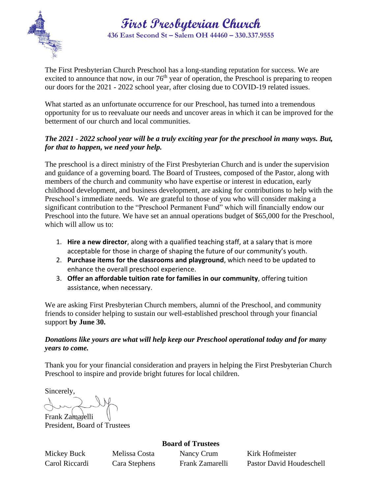

**First Presbyterian Church 436 East Second St – Salem OH 44460 – 330.337.9555**

The First Presbyterian Church Preschool has a long-standing reputation for success. We are excited to announce that now, in our  $76<sup>th</sup>$  year of operation, the Preschool is preparing to reopen our doors for the 2021 - 2022 school year, after closing due to COVID-19 related issues.

What started as an unfortunate occurrence for our Preschool, has turned into a tremendous opportunity for us to reevaluate our needs and uncover areas in which it can be improved for the betterment of our church and local communities.

### *The 2021 - 2022 school year will be a truly exciting year for the preschool in many ways. But, for that to happen, we need your help.*

The preschool is a direct ministry of the First Presbyterian Church and is under the supervision and guidance of a governing board. The Board of Trustees, composed of the Pastor, along with members of the church and community who have expertise or interest in education, early childhood development, and business development, are asking for contributions to help with the Preschool's immediate needs. We are grateful to those of you who will consider making a significant contribution to the "Preschool Permanent Fund" which will financially endow our Preschool into the future. We have set an annual operations budget of \$65,000 for the Preschool, which will allow us to:

- 1. **Hire a new director**, along with a qualified teaching staff, at a salary that is more acceptable for those in charge of shaping the future of our community's youth.
- 2. **Purchase items for the classrooms and playground**, which need to be updated to enhance the overall preschool experience.
- 3. **Offer an affordable tuition rate for families in our community**, offering tuition assistance, when necessary.

We are asking First Presbyterian Church members, alumni of the Preschool, and community friends to consider helping to sustain our well-established preschool through your financial support **by June 30.**

#### *Donations like yours are what will help keep our Preschool operational today and for many years to come.*

Thank you for your financial consideration and prayers in helping the First Presbyterian Church Preschool to inspire and provide bright futures for local children.

Sincerely,

Frank Zamarelli

President, Board of Trustees

**Board of Trustees** Mickey Buck Melissa Costa Nancy Crum Kirk Hofmeister

Carol Riccardi Cara Stephens Frank Zamarelli Pastor David Houdeschell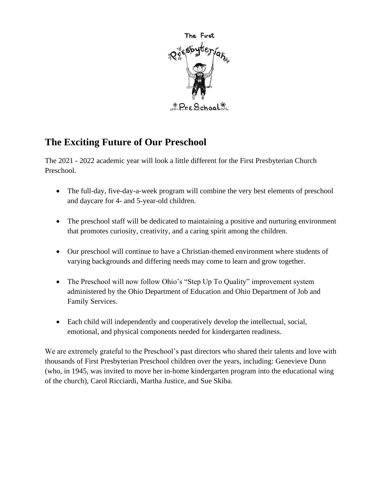

# **The Exciting Future of Our Preschool**

The 2021 - 2022 academic year will look a little different for the First Presbyterian Church Preschool.

- The full-day, five-day-a-week program will combine the very best elements of preschool and daycare for 4- and 5-year-old children.
- The preschool staff will be dedicated to maintaining a positive and nurturing environment that promotes curiosity, creativity, and a caring spirit among the children.
- Our preschool will continue to have a Christian-themed environment where students of varying backgrounds and differing needs may come to learn and grow together.
- The Preschool will now follow Ohio's "Step Up To Quality" improvement system administered by the Ohio Department of Education and Ohio Department of Job and Family Services.
- Each child will independently and cooperatively develop the intellectual, social, emotional, and physical components needed for kindergarten readiness.

We are extremely grateful to the Preschool's past directors who shared their talents and love with thousands of First Presbyterian Preschool children over the years, including: Genevieve Dunn (who, in 1945, was invited to move her in-home kindergarten program into the educational wing of the church), Carol Ricciardi, Martha Justice, and Sue Skiba.